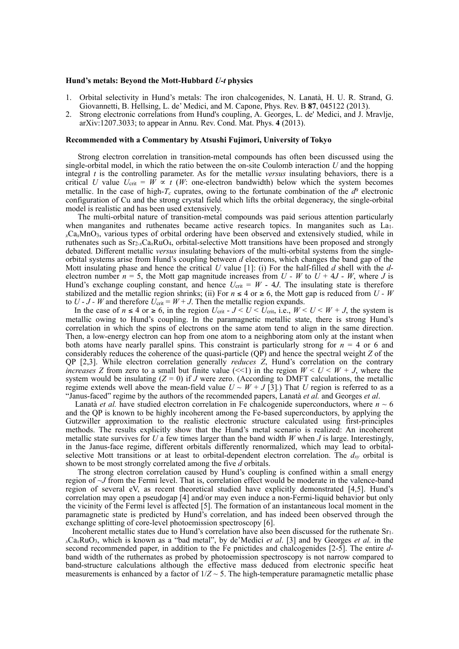## **Hund's metals: Beyond the Mott-Hubbard** *U-t* **physics**

- 1. Orbital selectivity in Hund's metals: The iron chalcogenides, N. Lanatà, H. U. R. Strand, G. Giovannetti, B. Hellsing, L. de' Medici, and M. Capone, Phys. Rev. B **87**, 045122 (2013).
- 2. Strong electronic correlations from Hund's coupling, A. Georges, L. de' Medici, and J. Mravlje, arXiv:1207.3033; to appear in Annu. Rev. Cond. Mat. Phys. **4** (2013).

## **Recommended with a Commentary by Atsushi Fujimori, University of Tokyo**

Strong electron correlation in transition-metal compounds has often been discussed using the single-orbital model, in which the ratio between the on-site Coulomb interaction *U* and the hopping integral *t* is the controlling parameter. As for the metallic *versus* insulating behaviors, there is a critical *U* value  $U_{\text{crit}} = W \propto t$  (*W*: one-electron bandwidth) below which the system becomes metallic. In the case of high- $T_c$  cuprates, owing to the fortunate combination of the  $d<sup>9</sup>$  electronic configuration of Cu and the strong crystal field which lifts the orbital degeneracy, the single-orbital model is realistic and has been used extensively.

The multi-orbital nature of transition-metal compounds was paid serious attention particularly when manganites and ruthenates became active research topics. In manganites such as La<sub>1-</sub> *<sup>x</sup>*Ca*x*MnO3, various types of orbital ordering have been observed and extensively studied, while in ruthenates such as Sr2-*x*Ca*x*RuO4, orbital-selective Mott transitions have been proposed and strongly debated. Different metallic *versus* insulating behaviors of the multi-orbital systems from the singleorbital systems arise from Hund's coupling between *d* electrons, which changes the band gap of the Mott insulating phase and hence the critical *U* value [1]: (i) For the half-filled *d* shell with the *d*electron number  $n = 5$ , the Mott gap magnitude increases from  $U - W$  to  $U + 4J - W$ , where *J* is Hund's exchange coupling constant, and hence  $U_{\text{crit}} = W - 4J$ . The insulating state is therefore stabilized and the metallic region shrinks; (ii) For  $n \leq 4$  or  $\geq 6$ , the Mott gap is reduced from *U - W* to  $U - J - W$  and therefore  $U_{\text{crit}} = W + J$ . Then the metallic region expands.

In the case of  $n \leq 4$  or  $\geq 6$ , in the region  $U_{\text{crit}}$  -  $J < U < U_{\text{crit}}$ , i.e.,  $W < U < W + J$ , the system is metallic owing to Hund's coupling. In the paramagnetic metallic state, there is strong Hund's correlation in which the spins of electrons on the same atom tend to align in the same direction. Then, a low-energy electron can hop from one atom to a neighboring atom only at the instant when both atoms have nearly parallel spins. This constraint is particularly strong for  $n = 4$  or 6 and considerably reduces the coherence of the quasi-particle (QP) and hence the spectral weight *Z* of the QP [2,3]. While electron correlation generally *reduces Z*, Hund's correlation on the contrary *increases Z* from zero to a small but finite value  $\lll$  in the region  $W \lt U \lt W + J$ , where the system would be insulating  $(Z = 0)$  if *J* were zero. (According to DMFT calculations, the metallic regime extends well above the mean-field value  $U \sim W + J(3)$ . That *U* region is referred to as a "Janus-faced" regime by the authors of the recommended papers, Lanatà *et al.* and Georges *et al*.

Lanatà *et al.* have studied electron correlation in Fe chalcogenide superconductors, where  $n \sim 6$ and the QP is known to be highly incoherent among the Fe-based superconductors, by applying the Gutzwiller approximation to the realistic electronic structure calculated using first-principles methods. The results explicitly show that the Hund's metal scenario is realized: An incoherent metallic state survives for *U* a few times larger than the band width *W* when *J* is large. Interestingly, in the Janus-face regime, different orbitals differently renormalized, which may lead to orbitalselective Mott transitions or at least to orbital-dependent electron correlation. The  $d_{xy}$  orbital is shown to be most strongly correlated among the five *d* orbitals.

 The strong electron correlation caused by Hund's coupling is confined within a small energy region of ~*J* from the Fermi level. That is, correlation effect would be moderate in the valence-band region of several eV, as recent theoretical studied have explicitly demonstrated [4,5]. Hund's correlation may open a pseudogap [4] and/or may even induce a non-Fermi-liquid behavior but only the vicinity of the Fermi level is affected [5]. The formation of an instantaneous local moment in the paramagnetic state is predicted by Hund's correlation, and has indeed been observed through the exchange splitting of core-level photoemission spectroscopy [6].

 Incoherent metallic states due to Hund's correlation have also been discussed for the ruthenate Sr1 *<sup>x</sup>*Ca*x*RuO3, which is known as a "bad metal", by de'Medici *et al*. [3] and by Georges *et al.* in the second recommended paper, in addition to the Fe pnictides and chalcogenides [2-5]. The entire *d*band width of the ruthernates as probed by photoemission spectroscopy is not narrow compared to band-structure calculations although the effective mass deduced from electronic specific heat measurements is enhanced by a factor of  $1/Z \sim 5$ . The high-temperature paramagnetic metallic phase